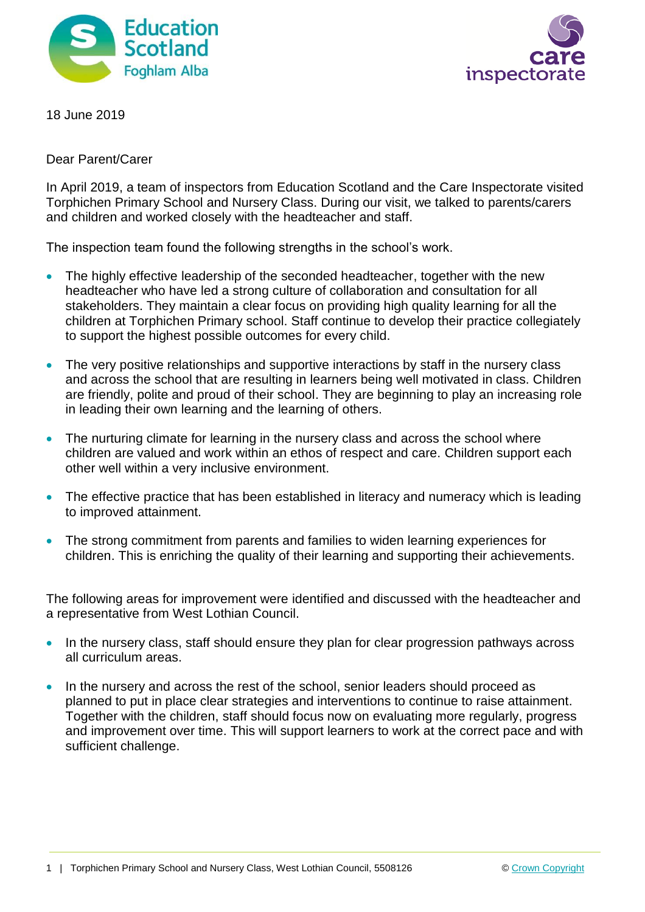



18 June 2019

Dear Parent/Carer

In April 2019, a team of inspectors from Education Scotland and the Care Inspectorate visited Torphichen Primary School and Nursery Class. During our visit, we talked to parents/carers and children and worked closely with the headteacher and staff.

The inspection team found the following strengths in the school's work.

- The highly effective leadership of the seconded headteacher, together with the new headteacher who have led a strong culture of collaboration and consultation for all stakeholders. They maintain a clear focus on providing high quality learning for all the children at Torphichen Primary school. Staff continue to develop their practice collegiately to support the highest possible outcomes for every child.
- The very positive relationships and supportive interactions by staff in the nursery class and across the school that are resulting in learners being well motivated in class. Children are friendly, polite and proud of their school. They are beginning to play an increasing role in leading their own learning and the learning of others.
- The nurturing climate for learning in the nursery class and across the school where children are valued and work within an ethos of respect and care. Children support each other well within a very inclusive environment.
- The effective practice that has been established in literacy and numeracy which is leading to improved attainment.
- The strong commitment from parents and families to widen learning experiences for children. This is enriching the quality of their learning and supporting their achievements.

The following areas for improvement were identified and discussed with the headteacher and a representative from West Lothian Council.

- In the nursery class, staff should ensure they plan for clear progression pathways across all curriculum areas.
- In the nursery and across the rest of the school, senior leaders should proceed as planned to put in place clear strategies and interventions to continue to raise attainment. Together with the children, staff should focus now on evaluating more regularly, progress and improvement over time. This will support learners to work at the correct pace and with sufficient challenge.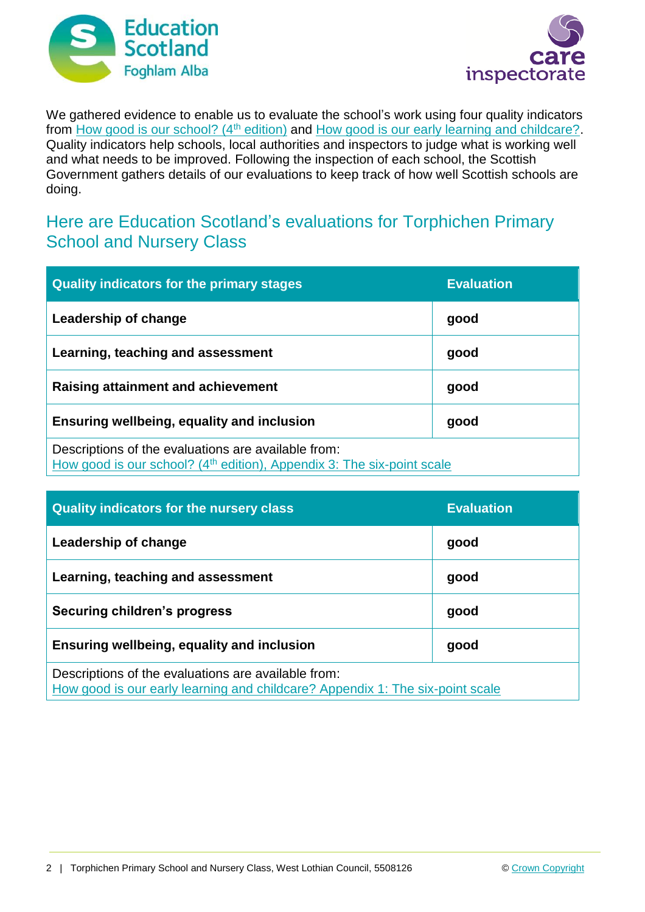



We gathered evidence to enable us to evaluate the school's work using four quality indicators from [How good is our school? \(4](https://education.gov.scot/improvement/Documents/Frameworks_SelfEvaluation/FRWK2_NIHeditHGIOS/FRWK2_HGIOS4.pdf)<sup>th</sup> edition) and [How good is our early learning and childcare?.](https://education.gov.scot/improvement/Documents/Frameworks_SelfEvaluation/FRWK1_NIHeditSelf-evaluationHGIELC/HGIOELC020316Revised.pdf) Quality indicators help schools, local authorities and inspectors to judge what is working well and what needs to be improved. Following the inspection of each school, the Scottish Government gathers details of our evaluations to keep track of how well Scottish schools are doing.

## Here are Education Scotland's evaluations for Torphichen Primary School and Nursery Class

| <b>Quality indicators for the primary stages</b>                                                                                          | <b>Evaluation</b> |
|-------------------------------------------------------------------------------------------------------------------------------------------|-------------------|
| Leadership of change                                                                                                                      | good              |
| Learning, teaching and assessment                                                                                                         | good              |
| Raising attainment and achievement                                                                                                        | good              |
| Ensuring wellbeing, equality and inclusion                                                                                                | good              |
| Descriptions of the evaluations are available from:<br>How good is our school? (4 <sup>th</sup> edition), Appendix 3: The six-point scale |                   |

| <b>Quality indicators for the nursery class</b>                                                                                      | <b>Evaluation</b> |
|--------------------------------------------------------------------------------------------------------------------------------------|-------------------|
| Leadership of change                                                                                                                 | good              |
| Learning, teaching and assessment                                                                                                    | good              |
| Securing children's progress                                                                                                         | good              |
| Ensuring wellbeing, equality and inclusion                                                                                           | good              |
| Descriptions of the evaluations are available from:<br>How good is our early learning and childcare? Appendix 1: The six-point scale |                   |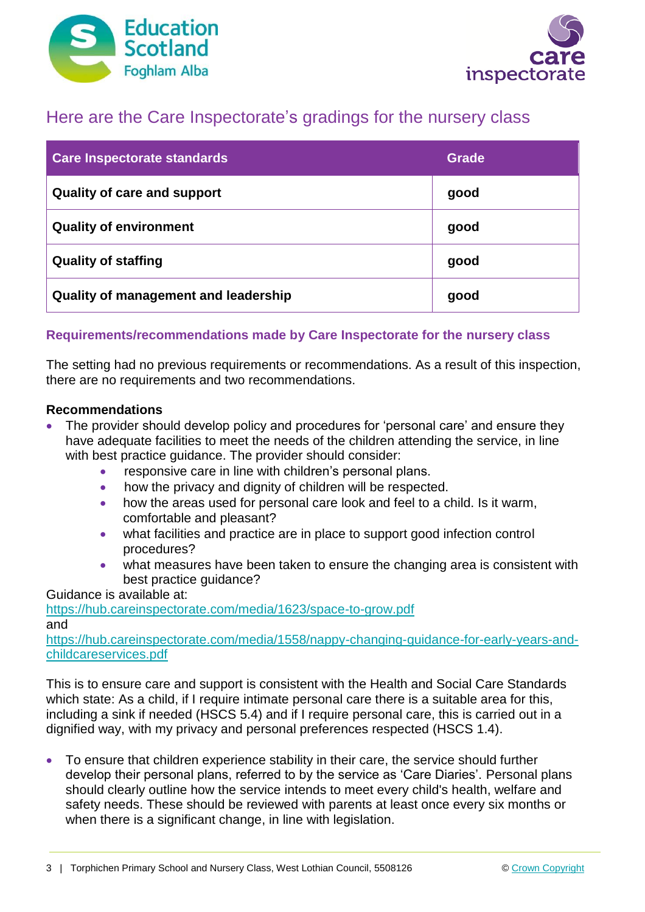



# Here are the Care Inspectorate's gradings for the nursery class

| <b>Care Inspectorate standards</b>   | Grade |
|--------------------------------------|-------|
| <b>Quality of care and support</b>   | good  |
| <b>Quality of environment</b>        | good  |
| <b>Quality of staffing</b>           | good  |
| Quality of management and leadership | good  |

## **Requirements/recommendations made by Care Inspectorate for the nursery class**

The setting had no previous requirements or recommendations. As a result of this inspection, there are no requirements and two recommendations.

### **Recommendations**

- The provider should develop policy and procedures for 'personal care' and ensure they have adequate facilities to meet the needs of the children attending the service, in line with best practice guidance. The provider should consider:
	- responsive care in line with children's personal plans.
	- how the privacy and dignity of children will be respected.
	- how the areas used for personal care look and feel to a child. Is it warm, comfortable and pleasant?
	- what facilities and practice are in place to support good infection control procedures?
	- what measures have been taken to ensure the changing area is consistent with best practice quidance?

Guidance is available at:

<https://hub.careinspectorate.com/media/1623/space-to-grow.pdf> and

[https://hub.careinspectorate.com/media/1558/nappy-changing-guidance-for-early-years-and](https://hub.careinspectorate.com/media/1558/nappy-changing-guidance-for-early-years-and-childcareservices.pdf)[childcareservices.pdf](https://hub.careinspectorate.com/media/1558/nappy-changing-guidance-for-early-years-and-childcareservices.pdf)

This is to ensure care and support is consistent with the Health and Social Care Standards which state: As a child, if I require intimate personal care there is a suitable area for this, including a sink if needed (HSCS 5.4) and if I require personal care, this is carried out in a dignified way, with my privacy and personal preferences respected (HSCS 1.4).

 To ensure that children experience stability in their care, the service should further develop their personal plans, referred to by the service as 'Care Diaries'. Personal plans should clearly outline how the service intends to meet every child's health, welfare and safety needs. These should be reviewed with parents at least once every six months or when there is a significant change, in line with legislation.